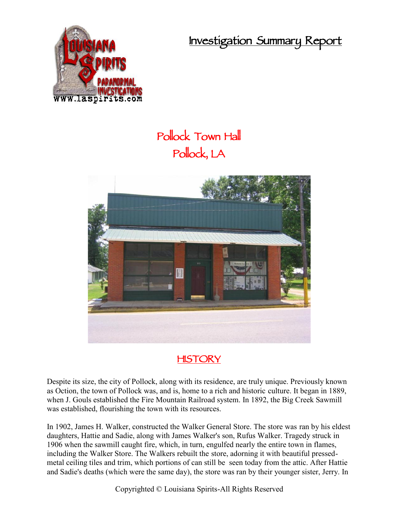**Investigation Summary Report**



## **Pollock Town Hall Pollock, LA**





Despite its size, the city of Pollock, along with its residence, are truly unique. Previously known as Oction, the town of Pollock was, and is, home to a rich and historic culture. It began in 1889, when J. Gouls established the Fire Mountain Railroad system. In 1892, the Big Creek Sawmill was established, flourishing the town with its resources.

In 1902, James H. Walker, constructed the Walker General Store. The store was ran by his eldest daughters, Hattie and Sadie, along with James Walker's son, Rufus Walker. Tragedy struck in 1906 when the sawmill caught fire, which, in turn, engulfed nearly the entire town in flames, including the Walker Store. The Walkers rebuilt the store, adorning it with beautiful pressed metal ceiling tiles and trim, which portions of can still be seen today from the attic. After Hattie and Sadie's deaths (which were the same day), the store was ran by their younger sister, Jerry. In

Copyrighted © Louisiana Spirits-All Rights Reserved